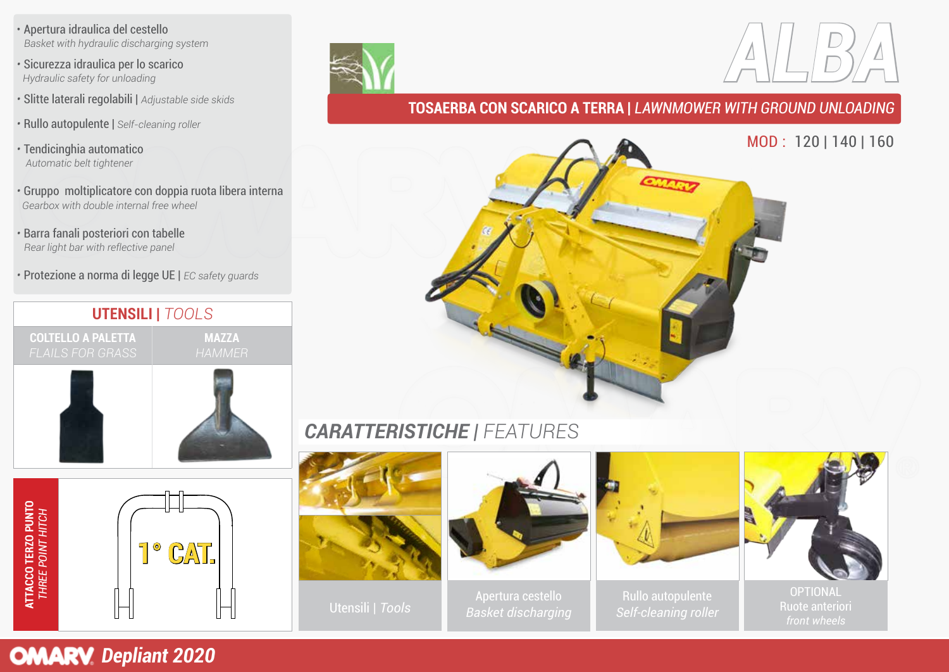• Apertura idraulica del cestello  *Basket with hydraulic discharging system* 

*•* Sicurezza idraulica per lo scarico *Hydraulic safety for unloading*

- Slitte laterali regolabili | *Adjustable side skids*
- Rullo autopulente | *Self-cleaning roller*

*•* Tendicinghia automatico *Automatic belt tightener*

- Gruppo moltiplicatore con doppia ruota libera interna *Gearbox with double internal free wheel*
- Barra fanali posteriori con tabelle  *Rear light bar with reflective panel*
- Protezione a norma di legge UE | *EC safety guards*

# **UTENSILI |** *TOOLS* **COLTELLO A PALETTA MAZZA**





#### **TOSAERBA CON SCARICO A TERRA |** *LAWNMOWER WITH GROUND UNLOADING*



## *CARATTERISTICHE | FEATURES*



**OMARV** Depliant 2020

**ATTACCO TERZO PUNTO** *THREE POINT HITCH*

**ATTACCO TERZO PUNTO**<br>THREE POINT HITCH





Apertura cestello Rullo autopulente<br>Colfologning rollo Racket discharging Apertura cestello *Basket discharging*





OPTIONAL Ruote anteriori